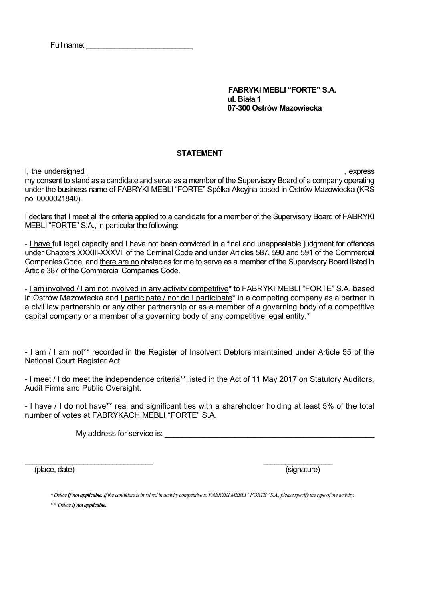Full name:

 FABRYKI MEBLI "FORTE" S.A. ul. Biała 1 07-300 Ostrów Mazowiecka

## **STATEMENT**

I, the undersigned \_\_\_\_\_\_\_\_\_\_\_\_\_\_\_\_\_\_\_\_\_\_\_\_\_\_\_\_\_\_\_\_\_\_\_\_\_\_\_\_\_\_\_\_\_\_\_\_\_\_\_\_\_\_\_\_\_\_\_\_\_\_\_, express my consent to stand as a candidate and serve as a member of the Supervisory Board of a company operating under the business name of FABRYKI MEBLI "FORTE" Spółka Akcyjna based in Ostrów Mazowiecka (KRS no. 0000021840).

I declare that I meet all the criteria applied to a candidate for a member of the Supervisory Board of FABRYKI MEBLI "FORTE" S.A., in particular the following:

- I have full legal capacity and I have not been convicted in a final and unappealable judgment for offences under Chapters XXXIII-XXXVII of the Criminal Code and under Articles 587, 590 and 591 of the Commercial Companies Code, and there are no obstacles for me to serve as a member of the Supervisory Board listed in Article 387 of the Commercial Companies Code.

- I am involved / I am not involved in any activity competitive<sup>\*</sup> to FABRYKI MEBLI "FORTE" S.A. based in Ostrów Mazowiecka and I participate / nor do I participate\* in a competing company as a partner in a civil law partnership or any other partnership or as a member of a governing body of a competitive capital company or a member of a governing body of any competitive legal entity.\*

- I am / I am not\*\* recorded in the Register of Insolvent Debtors maintained under Article 55 of the National Court Register Act.

- I meet / I do meet the independence criteria\*\* listed in the Act of 11 May 2017 on Statutory Auditors, Audit Firms and Public Oversight.

- I have / I do not have\*\* real and significant ties with a shareholder holding at least 5% of the total number of votes at FABRYKACH MEBLI "FORTE" S.A.

My address for service is: **Example 20** and  $\alpha$ 

(place, date) (signature)

\* Delete if not applicable. If the candidate is involved in activity competitive to FABRYKI MEBLI "FORTE" S.A., please specify the type of the activity. \*\* Delete if not applicable.

 $\_$